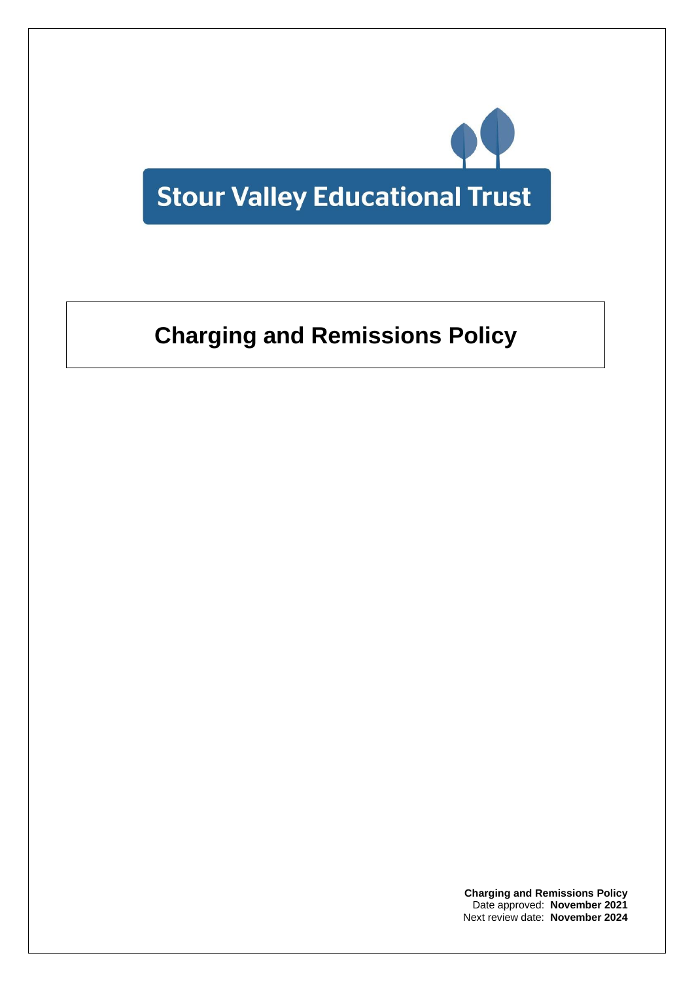

# **Charging and Remissions Policy**

**Charging and Remissions Policy** Date approved: **November 2021** Next review date: **November 2024**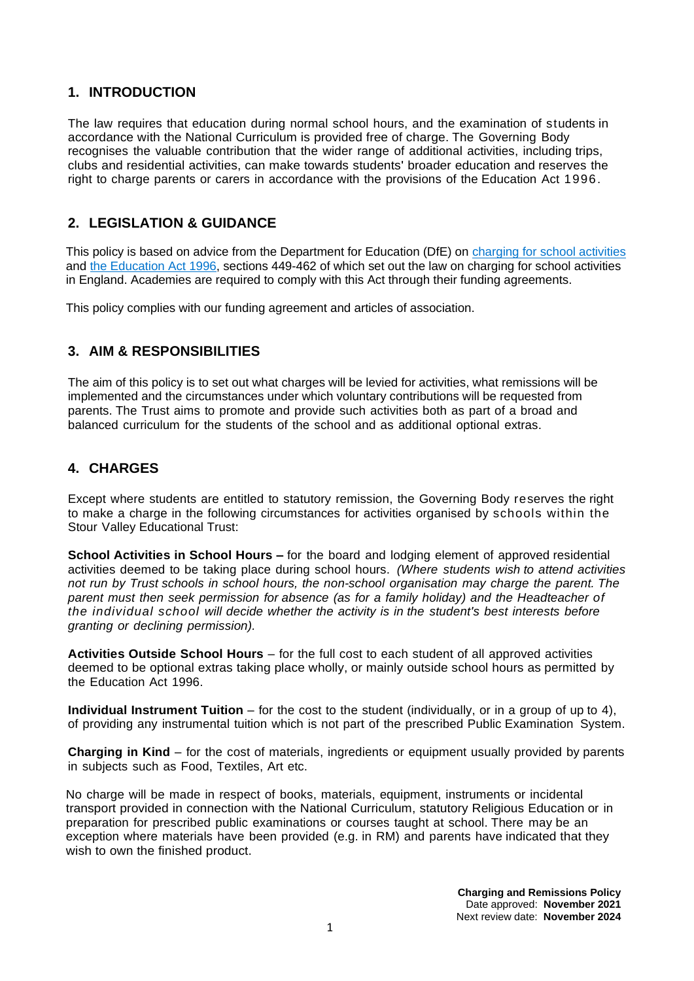## **1. INTRODUCTION**

The law requires that education during normal school hours, and the examination of students in accordance with the National Curriculum is provided free of charge. The Governing Body recognises the valuable contribution that the wider range of additional activities, including trips, clubs and residential activities, can make towards students' broader education and reserves the right to charge parents or carers in accordance with the provisions of the Education Act 1996.

## **2. LEGISLATION & GUIDANCE**

This policy is based on advice from the Department for Education (DfE) on [charging for school activities](https://www.gov.uk/government/publications/charging-for-school-activities) and [the Education Act 1996,](http://www.legislation.gov.uk/ukpga/1996/56/part/VI/chapter/III) sections 449-462 of which set out the law on charging for school activities in England. Academies are required to comply with this Act through their funding agreements.

This policy complies with our funding agreement and articles of association.

## **3. AIM & RESPONSIBILITIES**

The aim of this policy is to set out what charges will be levied for activities, what remissions will be implemented and the circumstances under which voluntary contributions will be requested from parents. The Trust aims to promote and provide such activities both as part of a broad and balanced curriculum for the students of the school and as additional optional extras.

## **4. CHARGES**

Except where students are entitled to statutory remission, the Governing Body reserves the right to make a charge in the following circumstances for activities organised by schools within the Stour Valley Educational Trust:

**School Activities in School Hours –** for the board and lodging element of approved residential activities deemed to be taking place during school hours. *(Where students wish to attend activities not run by Trust schools in school hours, the non-school organisation may charge the parent. The parent must then seek permission for absence (as for a family holiday) and the Headteacher of the individual school will decide whether the activity is in the student's best interests before granting or declining permission).*

**Activities Outside School Hours** – for the full cost to each student of all approved activities deemed to be optional extras taking place wholly, or mainly outside school hours as permitted by the Education Act 1996.

**Individual Instrument Tuition** – for the cost to the student (individually, or in a group of up to 4), of providing any instrumental tuition which is not part of the prescribed Public Examination System.

**Charging in Kind** – for the cost of materials, ingredients or equipment usually provided by parents in subjects such as Food, Textiles, Art etc.

No charge will be made in respect of books, materials, equipment, instruments or incidental transport provided in connection with the National Curriculum, statutory Religious Education or in preparation for prescribed public examinations or courses taught at school. There may be an exception where materials have been provided (e.g. in RM) and parents have indicated that they wish to own the finished product.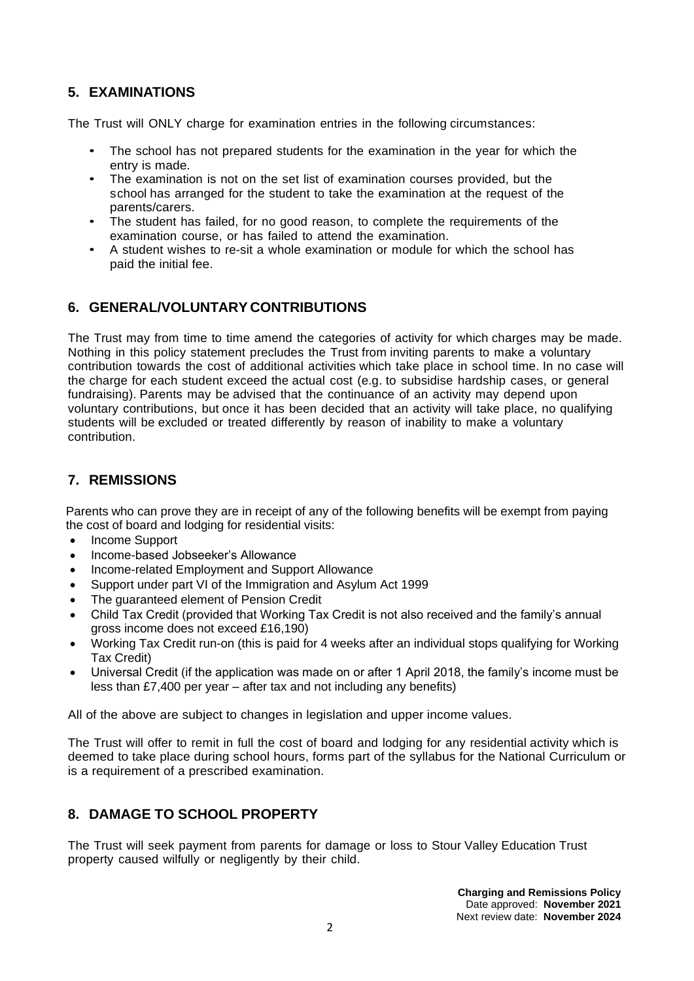## **5. EXAMINATIONS**

The Trust will ONLY charge for examination entries in the following circumstances:

- The school has not prepared students for the examination in the year for which the entry is made.
- The examination is not on the set list of examination courses provided, but the school has arranged for the student to take the examination at the request of the parents/carers.
- The student has failed, for no good reason, to complete the requirements of the examination course, or has failed to attend the examination.
- A student wishes to re-sit a whole examination or module for which the school has paid the initial fee.

## **6. GENERAL/VOLUNTARY CONTRIBUTIONS**

The Trust may from time to time amend the categories of activity for which charges may be made. Nothing in this policy statement precludes the Trust from inviting parents to make a voluntary contribution towards the cost of additional activities which take place in school time. In no case will the charge for each student exceed the actual cost (e.g. to subsidise hardship cases, or general fundraising). Parents may be advised that the continuance of an activity may depend upon voluntary contributions, but once it has been decided that an activity will take place, no qualifying students will be excluded or treated differently by reason of inability to make a voluntary contribution.

## **7. REMISSIONS**

Parents who can prove they are in receipt of any of the following benefits will be exempt from paying the cost of board and lodging for residential visits:

- Income Support
- Income-based Jobseeker's Allowance
- Income-related Employment and Support Allowance
- Support under part VI of the Immigration and Asylum Act 1999
- The guaranteed element of Pension Credit
- Child Tax Credit (provided that Working Tax Credit is not also received and the family's annual gross income does not exceed £16,190)
- Working Tax Credit run-on (this is paid for 4 weeks after an individual stops qualifying for Working Tax Credit)
- Universal Credit (if the application was made on or after 1 April 2018, the family's income must be less than £7,400 per year – after tax and not including any benefits)

All of the above are subject to changes in legislation and upper income values.

The Trust will offer to remit in full the cost of board and lodging for any residential activity which is deemed to take place during school hours, forms part of the syllabus for the National Curriculum or is a requirement of a prescribed examination.

## **8. DAMAGE TO SCHOOL PROPERTY**

The Trust will seek payment from parents for damage or loss to Stour Valley Education Trust property caused wilfully or negligently by their child.